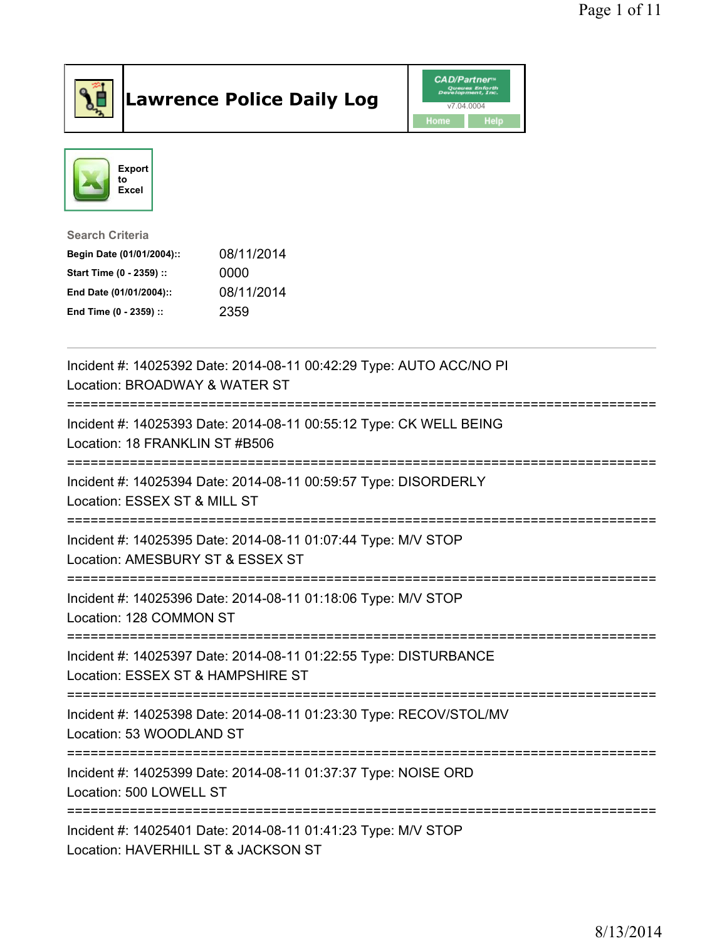

## Lawrence Police Daily Log Value of the CAD/Partner





Search Criteria

| Begin Date (01/01/2004):: | 08/11/2014 |
|---------------------------|------------|
| Start Time (0 - 2359) ::  | 0000       |
| End Date (01/01/2004)::   | 08/11/2014 |
| End Time (0 - 2359) ::    | 2359       |

| Incident #: 14025392 Date: 2014-08-11 00:42:29 Type: AUTO ACC/NO PI<br>Location: BROADWAY & WATER ST  |
|-------------------------------------------------------------------------------------------------------|
| Incident #: 14025393 Date: 2014-08-11 00:55:12 Type: CK WELL BEING<br>Location: 18 FRANKLIN ST #B506  |
| Incident #: 14025394 Date: 2014-08-11 00:59:57 Type: DISORDERLY<br>Location: ESSEX ST & MILL ST       |
| Incident #: 14025395 Date: 2014-08-11 01:07:44 Type: M/V STOP<br>Location: AMESBURY ST & ESSEX ST     |
| Incident #: 14025396 Date: 2014-08-11 01:18:06 Type: M/V STOP<br>Location: 128 COMMON ST              |
| Incident #: 14025397 Date: 2014-08-11 01:22:55 Type: DISTURBANCE<br>Location: ESSEX ST & HAMPSHIRE ST |
| Incident #: 14025398 Date: 2014-08-11 01:23:30 Type: RECOV/STOL/MV<br>Location: 53 WOODLAND ST        |
| Incident #: 14025399 Date: 2014-08-11 01:37:37 Type: NOISE ORD<br>Location: 500 LOWELL ST             |
| Incident #: 14025401 Date: 2014-08-11 01:41:23 Type: M/V STOP<br>Location: HAVERHILL ST & JACKSON ST  |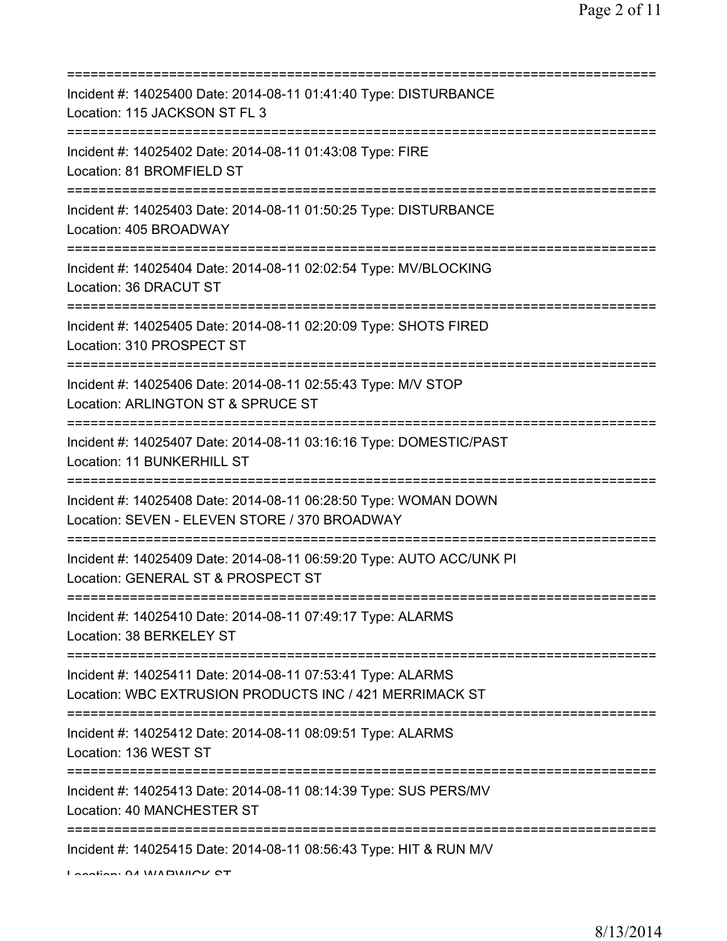| Incident #: 14025400 Date: 2014-08-11 01:41:40 Type: DISTURBANCE<br>Location: 115 JACKSON ST FL 3                      |
|------------------------------------------------------------------------------------------------------------------------|
| Incident #: 14025402 Date: 2014-08-11 01:43:08 Type: FIRE<br>Location: 81 BROMFIELD ST                                 |
| Incident #: 14025403 Date: 2014-08-11 01:50:25 Type: DISTURBANCE<br>Location: 405 BROADWAY                             |
| Incident #: 14025404 Date: 2014-08-11 02:02:54 Type: MV/BLOCKING<br>Location: 36 DRACUT ST                             |
| Incident #: 14025405 Date: 2014-08-11 02:20:09 Type: SHOTS FIRED<br>Location: 310 PROSPECT ST                          |
| Incident #: 14025406 Date: 2014-08-11 02:55:43 Type: M/V STOP<br>Location: ARLINGTON ST & SPRUCE ST                    |
| Incident #: 14025407 Date: 2014-08-11 03:16:16 Type: DOMESTIC/PAST<br>Location: 11 BUNKERHILL ST                       |
| Incident #: 14025408 Date: 2014-08-11 06:28:50 Type: WOMAN DOWN<br>Location: SEVEN - ELEVEN STORE / 370 BROADWAY       |
| Incident #: 14025409 Date: 2014-08-11 06:59:20 Type: AUTO ACC/UNK PI<br>Location: GENERAL ST & PROSPECT ST             |
| Incident #: 14025410 Date: 2014-08-11 07:49:17 Type: ALARMS<br>Location: 38 BERKELEY ST                                |
| Incident #: 14025411 Date: 2014-08-11 07:53:41 Type: ALARMS<br>Location: WBC EXTRUSION PRODUCTS INC / 421 MERRIMACK ST |
| Incident #: 14025412 Date: 2014-08-11 08:09:51 Type: ALARMS<br>Location: 136 WEST ST                                   |
| ============<br>Incident #: 14025413 Date: 2014-08-11 08:14:39 Type: SUS PERS/MV<br>Location: 40 MANCHESTER ST         |
| Incident #: 14025415 Date: 2014-08-11 08:56:43 Type: HIT & RUN M/V<br>I coofian: 04 WADWICK CT                         |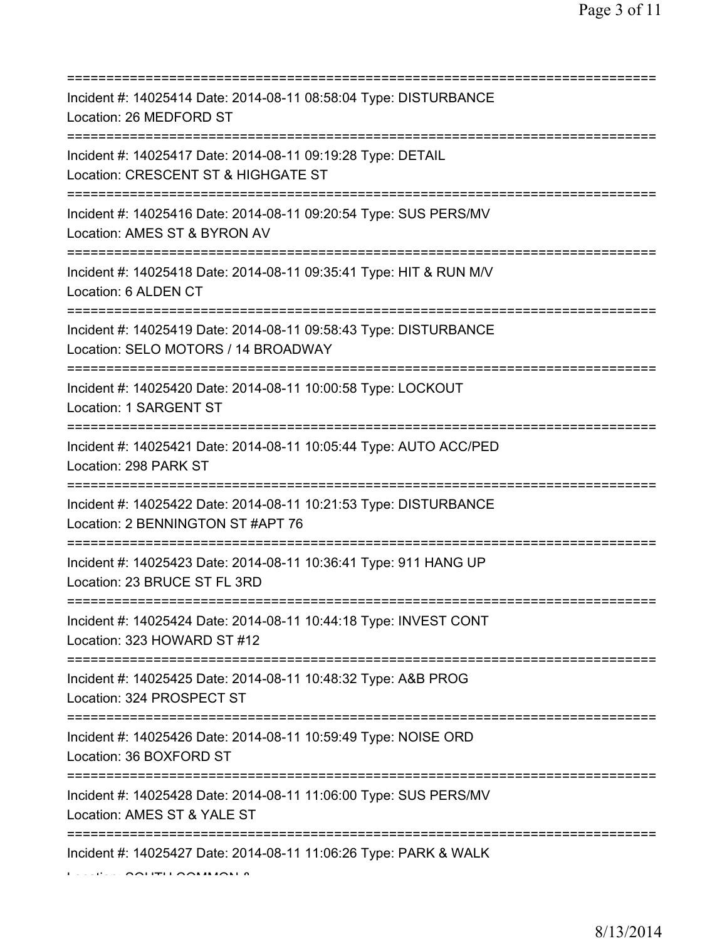| Incident #: 14025414 Date: 2014-08-11 08:58:04 Type: DISTURBANCE<br>Location: 26 MEDFORD ST                                                |
|--------------------------------------------------------------------------------------------------------------------------------------------|
| Incident #: 14025417 Date: 2014-08-11 09:19:28 Type: DETAIL<br>Location: CRESCENT ST & HIGHGATE ST<br>========================             |
| Incident #: 14025416 Date: 2014-08-11 09:20:54 Type: SUS PERS/MV<br>Location: AMES ST & BYRON AV<br>====================================== |
| Incident #: 14025418 Date: 2014-08-11 09:35:41 Type: HIT & RUN M/V<br>Location: 6 ALDEN CT<br>====================================         |
| Incident #: 14025419 Date: 2014-08-11 09:58:43 Type: DISTURBANCE<br>Location: SELO MOTORS / 14 BROADWAY<br>=====================           |
| Incident #: 14025420 Date: 2014-08-11 10:00:58 Type: LOCKOUT<br>Location: 1 SARGENT ST                                                     |
| Incident #: 14025421 Date: 2014-08-11 10:05:44 Type: AUTO ACC/PED<br>Location: 298 PARK ST                                                 |
| ================================<br>Incident #: 14025422 Date: 2014-08-11 10:21:53 Type: DISTURBANCE<br>Location: 2 BENNINGTON ST #APT 76  |
| Incident #: 14025423 Date: 2014-08-11 10:36:41 Type: 911 HANG UP<br>Location: 23 BRUCE ST FL 3RD                                           |
| Incident #: 14025424 Date: 2014-08-11 10:44:18 Type: INVEST CONT<br>Location: 323 HOWARD ST #12                                            |
| Incident #: 14025425 Date: 2014-08-11 10:48:32 Type: A&B PROG<br>Location: 324 PROSPECT ST                                                 |
| Incident #: 14025426 Date: 2014-08-11 10:59:49 Type: NOISE ORD<br>Location: 36 BOXFORD ST                                                  |
| Incident #: 14025428 Date: 2014-08-11 11:06:00 Type: SUS PERS/MV<br>Location: AMES ST & YALE ST                                            |
| Incident #: 14025427 Date: 2014-08-11 11:06:26 Type: PARK & WALK                                                                           |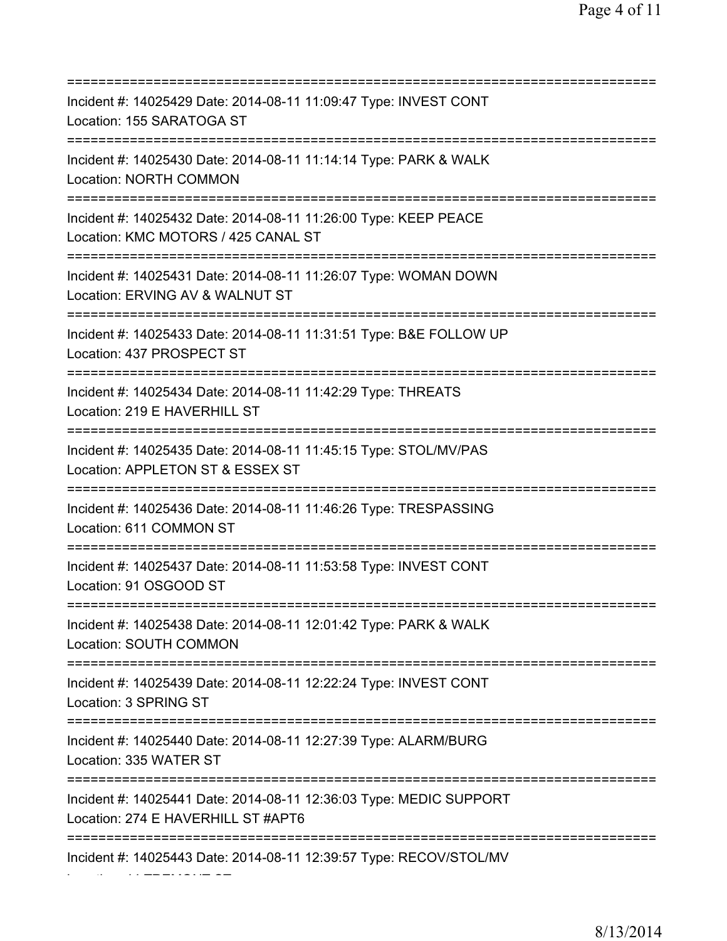| ========================                                                                                                      |
|-------------------------------------------------------------------------------------------------------------------------------|
| Incident #: 14025429 Date: 2014-08-11 11:09:47 Type: INVEST CONT<br>Location: 155 SARATOGA ST                                 |
| Incident #: 14025430 Date: 2014-08-11 11:14:14 Type: PARK & WALK<br>Location: NORTH COMMON                                    |
| Incident #: 14025432 Date: 2014-08-11 11:26:00 Type: KEEP PEACE<br>Location: KMC MOTORS / 425 CANAL ST                        |
| Incident #: 14025431 Date: 2014-08-11 11:26:07 Type: WOMAN DOWN<br>Location: ERVING AV & WALNUT ST<br>======================= |
| Incident #: 14025433 Date: 2014-08-11 11:31:51 Type: B&E FOLLOW UP<br>Location: 437 PROSPECT ST                               |
| Incident #: 14025434 Date: 2014-08-11 11:42:29 Type: THREATS<br>Location: 219 E HAVERHILL ST<br>============================  |
| Incident #: 14025435 Date: 2014-08-11 11:45:15 Type: STOL/MV/PAS<br>Location: APPLETON ST & ESSEX ST                          |
| Incident #: 14025436 Date: 2014-08-11 11:46:26 Type: TRESPASSING<br>Location: 611 COMMON ST                                   |
| Incident #: 14025437 Date: 2014-08-11 11:53:58 Type: INVEST CONT<br>Location: 91 OSGOOD ST                                    |
| Incident #: 14025438 Date: 2014-08-11 12:01:42 Type: PARK & WALK<br>Location: SOUTH COMMON                                    |
| Incident #: 14025439 Date: 2014-08-11 12:22:24 Type: INVEST CONT<br>Location: 3 SPRING ST                                     |
| Incident #: 14025440 Date: 2014-08-11 12:27:39 Type: ALARM/BURG<br>Location: 335 WATER ST                                     |
| Incident #: 14025441 Date: 2014-08-11 12:36:03 Type: MEDIC SUPPORT<br>Location: 274 E HAVERHILL ST #APT6                      |
| Incident #: 14025443 Date: 2014-08-11 12:39:57 Type: RECOV/STOL/MV                                                            |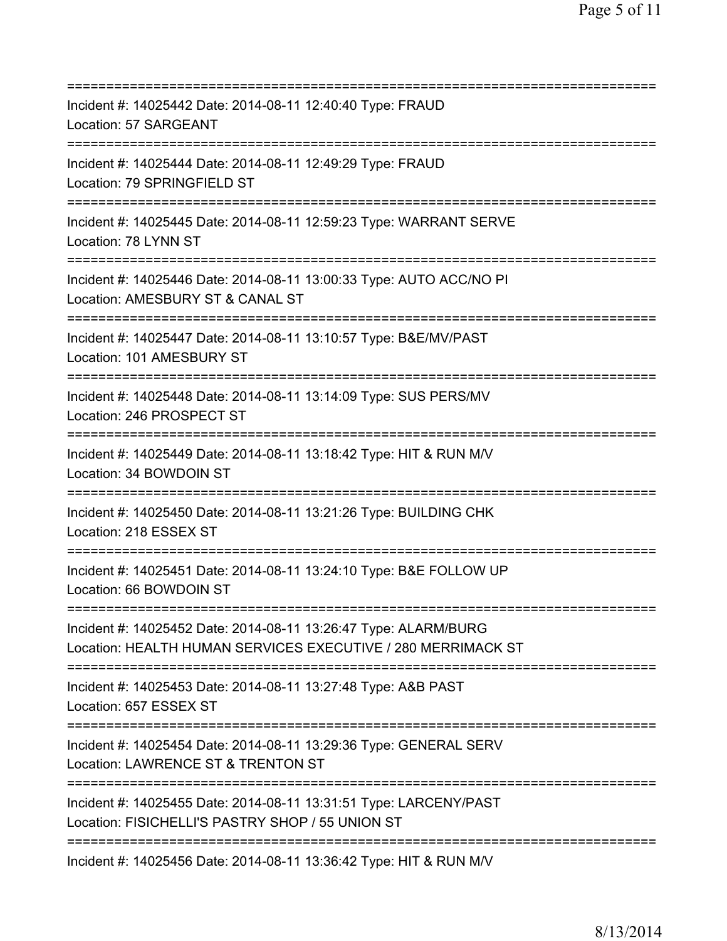| Incident #: 14025442 Date: 2014-08-11 12:40:40 Type: FRAUD<br>Location: 57 SARGEANT<br>==============================                 |
|---------------------------------------------------------------------------------------------------------------------------------------|
| Incident #: 14025444 Date: 2014-08-11 12:49:29 Type: FRAUD<br>Location: 79 SPRINGFIELD ST                                             |
| Incident #: 14025445 Date: 2014-08-11 12:59:23 Type: WARRANT SERVE<br>Location: 78 LYNN ST                                            |
| Incident #: 14025446 Date: 2014-08-11 13:00:33 Type: AUTO ACC/NO PI<br>Location: AMESBURY ST & CANAL ST                               |
| Incident #: 14025447 Date: 2014-08-11 13:10:57 Type: B&E/MV/PAST<br>Location: 101 AMESBURY ST<br>==================================== |
| Incident #: 14025448 Date: 2014-08-11 13:14:09 Type: SUS PERS/MV<br>Location: 246 PROSPECT ST                                         |
| Incident #: 14025449 Date: 2014-08-11 13:18:42 Type: HIT & RUN M/V<br>Location: 34 BOWDOIN ST                                         |
| Incident #: 14025450 Date: 2014-08-11 13:21:26 Type: BUILDING CHK<br>Location: 218 ESSEX ST                                           |
| Incident #: 14025451 Date: 2014-08-11 13:24:10 Type: B&E FOLLOW UP<br>Location: 66 BOWDOIN ST                                         |
| Incident #: 14025452 Date: 2014-08-11 13:26:47 Type: ALARM/BURG<br>Location: HEALTH HUMAN SERVICES EXECUTIVE / 280 MERRIMACK ST       |
| Incident #: 14025453 Date: 2014-08-11 13:27:48 Type: A&B PAST<br>Location: 657 ESSEX ST                                               |
| Incident #: 14025454 Date: 2014-08-11 13:29:36 Type: GENERAL SERV<br>Location: LAWRENCE ST & TRENTON ST                               |
| Incident #: 14025455 Date: 2014-08-11 13:31:51 Type: LARCENY/PAST<br>Location: FISICHELLI'S PASTRY SHOP / 55 UNION ST                 |
|                                                                                                                                       |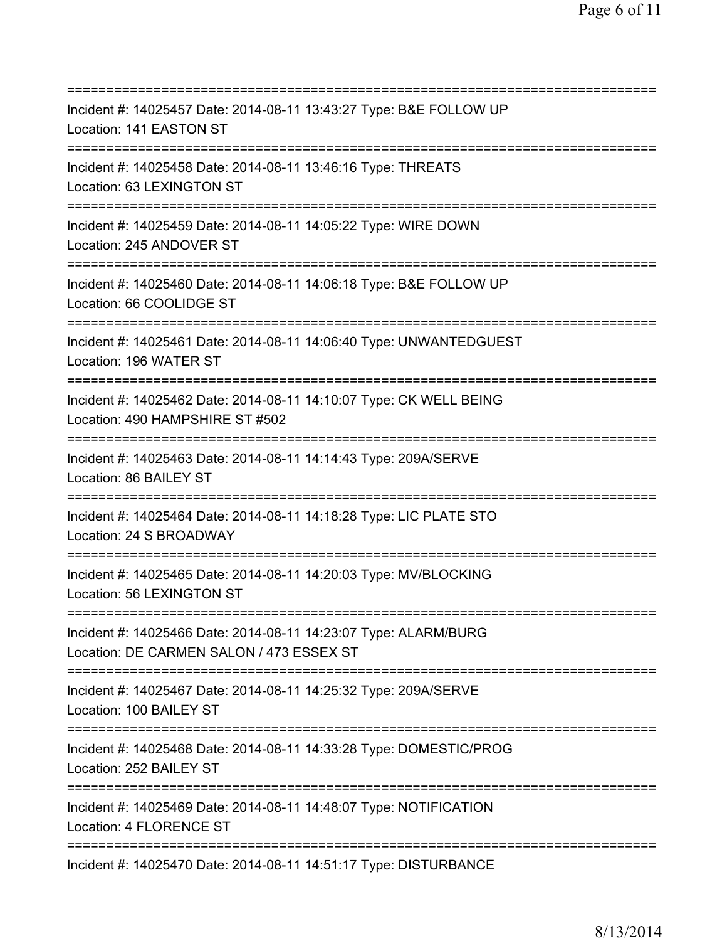=========================================================================== Incident #: 14025457 Date: 2014-08-11 13:43:27 Type: B&E FOLLOW UP Location: 141 EASTON ST =========================================================================== Incident #: 14025458 Date: 2014-08-11 13:46:16 Type: THREATS Location: 63 LEXINGTON ST =========================================================================== Incident #: 14025459 Date: 2014-08-11 14:05:22 Type: WIRE DOWN Location: 245 ANDOVER ST =========================================================================== Incident #: 14025460 Date: 2014-08-11 14:06:18 Type: B&E FOLLOW UP Location: 66 COOLIDGE ST =========================================================================== Incident #: 14025461 Date: 2014-08-11 14:06:40 Type: UNWANTEDGUEST Location: 196 WATER ST =========================================================================== Incident #: 14025462 Date: 2014-08-11 14:10:07 Type: CK WELL BEING Location: 490 HAMPSHIRE ST #502 =========================================================================== Incident #: 14025463 Date: 2014-08-11 14:14:43 Type: 209A/SERVE Location: 86 BAILEY ST =========================================================================== Incident #: 14025464 Date: 2014-08-11 14:18:28 Type: LIC PLATE STO Location: 24 S BROADWAY =========================================================================== Incident #: 14025465 Date: 2014-08-11 14:20:03 Type: MV/BLOCKING Location: 56 LEXINGTON ST =========================================================================== Incident #: 14025466 Date: 2014-08-11 14:23:07 Type: ALARM/BURG Location: DE CARMEN SALON / 473 ESSEX ST =========================================================================== Incident #: 14025467 Date: 2014-08-11 14:25:32 Type: 209A/SERVE Location: 100 BAILEY ST =========================================================================== Incident #: 14025468 Date: 2014-08-11 14:33:28 Type: DOMESTIC/PROG Location: 252 BAILEY ST =========================================================================== Incident #: 14025469 Date: 2014-08-11 14:48:07 Type: NOTIFICATION Location: 4 FLORENCE ST =========================================================================== Incident #: 14025470 Date: 2014-08-11 14:51:17 Type: DISTURBANCE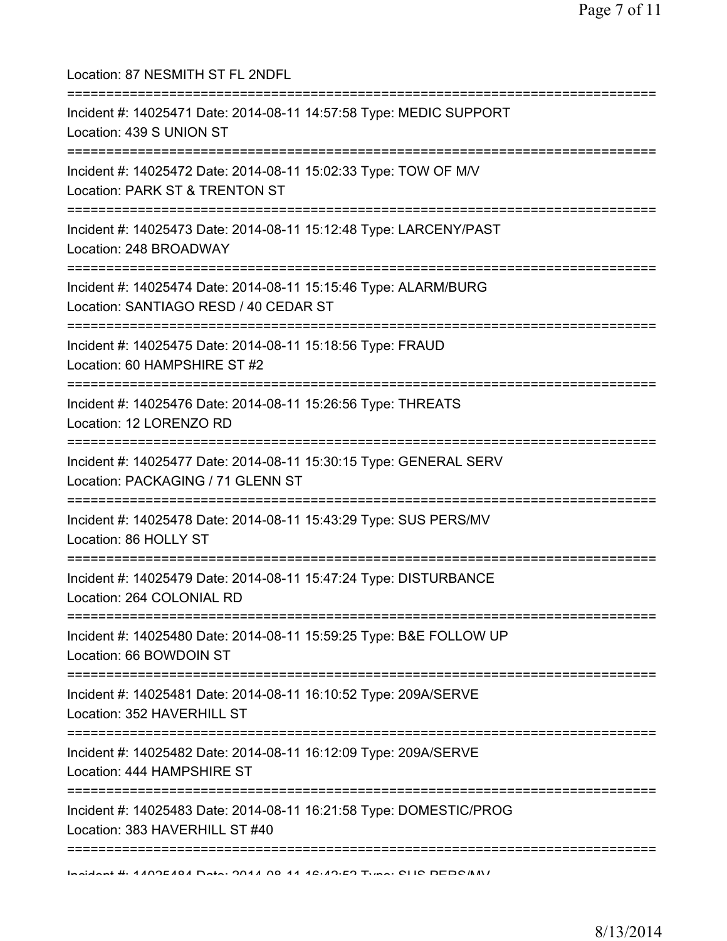| Location: 87 NESMITH ST FL 2NDFL                                                                                                     |
|--------------------------------------------------------------------------------------------------------------------------------------|
| Incident #: 14025471 Date: 2014-08-11 14:57:58 Type: MEDIC SUPPORT<br>Location: 439 S UNION ST<br>=================================  |
| Incident #: 14025472 Date: 2014-08-11 15:02:33 Type: TOW OF M/V<br>Location: PARK ST & TRENTON ST                                    |
| Incident #: 14025473 Date: 2014-08-11 15:12:48 Type: LARCENY/PAST<br>Location: 248 BROADWAY                                          |
| Incident #: 14025474 Date: 2014-08-11 15:15:46 Type: ALARM/BURG<br>Location: SANTIAGO RESD / 40 CEDAR ST                             |
| Incident #: 14025475 Date: 2014-08-11 15:18:56 Type: FRAUD<br>Location: 60 HAMPSHIRE ST #2                                           |
| Incident #: 14025476 Date: 2014-08-11 15:26:56 Type: THREATS<br>Location: 12 LORENZO RD                                              |
| Incident #: 14025477 Date: 2014-08-11 15:30:15 Type: GENERAL SERV<br>Location: PACKAGING / 71 GLENN ST<br>========================== |
| Incident #: 14025478 Date: 2014-08-11 15:43:29 Type: SUS PERS/MV<br>Location: 86 HOLLY ST                                            |
| Incident #: 14025479 Date: 2014-08-11 15:47:24 Type: DISTURBANCE<br>Location: 264 COLONIAL RD                                        |
| :========================<br>Incident #: 14025480 Date: 2014-08-11 15:59:25 Type: B&E FOLLOW UP<br>Location: 66 BOWDOIN ST           |
| Incident #: 14025481 Date: 2014-08-11 16:10:52 Type: 209A/SERVE<br>Location: 352 HAVERHILL ST                                        |
| Incident #: 14025482 Date: 2014-08-11 16:12:09 Type: 209A/SERVE<br>Location: 444 HAMPSHIRE ST                                        |
| Incident #: 14025483 Date: 2014-08-11 16:21:58 Type: DOMESTIC/PROG<br>Location: 383 HAVERHILL ST #40                                 |
|                                                                                                                                      |

Incident #: 14025484 Date: 2014 08 11 16:42:52 Type: SUS PERS/MV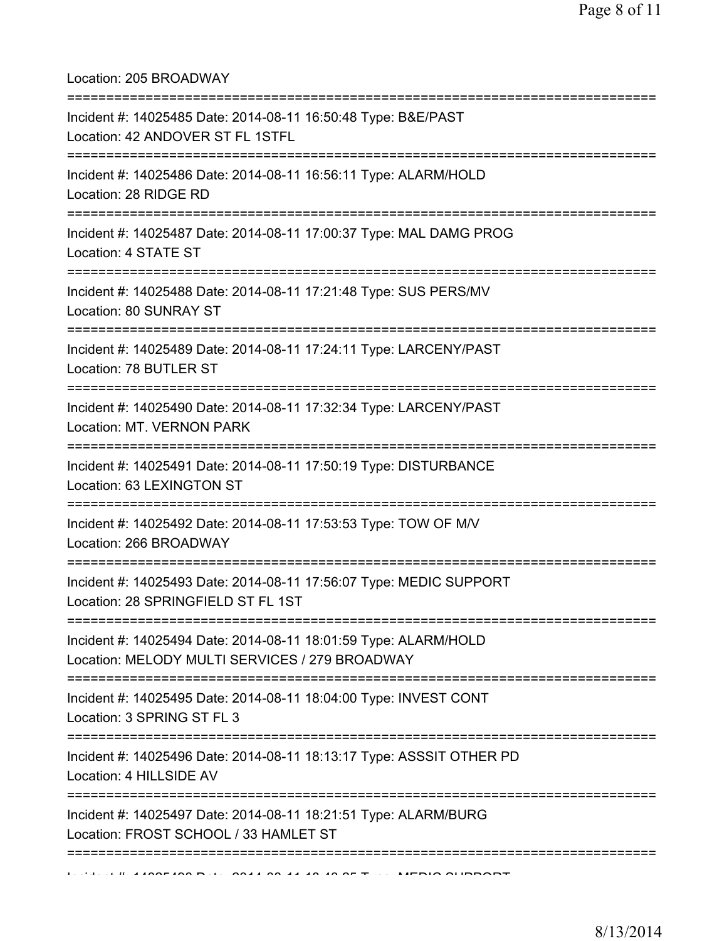Location: 205 BROADWAY

| Incident #: 14025485 Date: 2014-08-11 16:50:48 Type: B&E/PAST<br>Location: 42 ANDOVER ST FL 1STFL                  |
|--------------------------------------------------------------------------------------------------------------------|
| ======================<br>Incident #: 14025486 Date: 2014-08-11 16:56:11 Type: ALARM/HOLD<br>Location: 28 RIDGE RD |
| Incident #: 14025487 Date: 2014-08-11 17:00:37 Type: MAL DAMG PROG<br>Location: 4 STATE ST                         |
| Incident #: 14025488 Date: 2014-08-11 17:21:48 Type: SUS PERS/MV<br>Location: 80 SUNRAY ST                         |
| Incident #: 14025489 Date: 2014-08-11 17:24:11 Type: LARCENY/PAST<br>Location: 78 BUTLER ST                        |
| Incident #: 14025490 Date: 2014-08-11 17:32:34 Type: LARCENY/PAST<br><b>Location: MT. VERNON PARK</b>              |
| Incident #: 14025491 Date: 2014-08-11 17:50:19 Type: DISTURBANCE<br>Location: 63 LEXINGTON ST                      |
| Incident #: 14025492 Date: 2014-08-11 17:53:53 Type: TOW OF M/V<br>Location: 266 BROADWAY                          |
| Incident #: 14025493 Date: 2014-08-11 17:56:07 Type: MEDIC SUPPORT<br>Location: 28 SPRINGFIELD ST FL 1ST           |
| Incident #: 14025494 Date: 2014-08-11 18:01:59 Type: ALARM/HOLD<br>Location: MELODY MULTI SERVICES / 279 BROADWAY  |
| Incident #: 14025495 Date: 2014-08-11 18:04:00 Type: INVEST CONT<br>Location: 3 SPRING ST FL 3                     |
| Incident #: 14025496 Date: 2014-08-11 18:13:17 Type: ASSSIT OTHER PD<br>Location: 4 HILLSIDE AV                    |
| Incident #: 14025497 Date: 2014-08-11 18:21:51 Type: ALARM/BURG<br>Location: FROST SCHOOL / 33 HAMLET ST           |
|                                                                                                                    |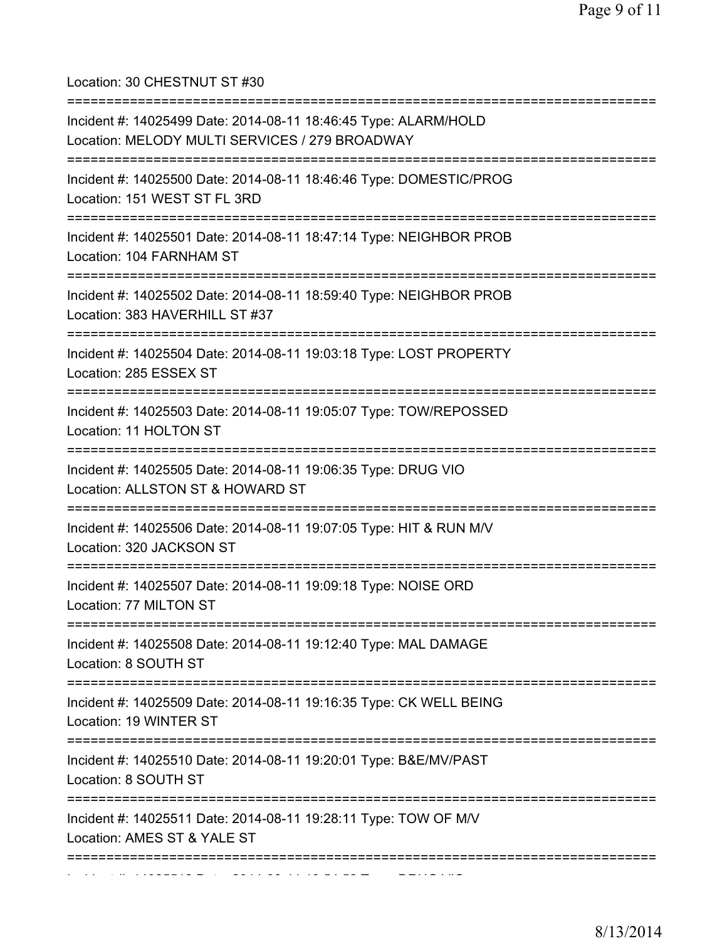Location: 30 CHESTNUT ST #30

| Incident #: 14025499 Date: 2014-08-11 18:46:45 Type: ALARM/HOLD<br>Location: MELODY MULTI SERVICES / 279 BROADWAY                            |
|----------------------------------------------------------------------------------------------------------------------------------------------|
| Incident #: 14025500 Date: 2014-08-11 18:46:46 Type: DOMESTIC/PROG<br>Location: 151 WEST ST FL 3RD<br>====================================== |
| Incident #: 14025501 Date: 2014-08-11 18:47:14 Type: NEIGHBOR PROB<br>Location: 104 FARNHAM ST                                               |
| Incident #: 14025502 Date: 2014-08-11 18:59:40 Type: NEIGHBOR PROB<br>Location: 383 HAVERHILL ST #37                                         |
| Incident #: 14025504 Date: 2014-08-11 19:03:18 Type: LOST PROPERTY<br>Location: 285 ESSEX ST                                                 |
| Incident #: 14025503 Date: 2014-08-11 19:05:07 Type: TOW/REPOSSED<br>Location: 11 HOLTON ST                                                  |
| Incident #: 14025505 Date: 2014-08-11 19:06:35 Type: DRUG VIO<br>Location: ALLSTON ST & HOWARD ST                                            |
| Incident #: 14025506 Date: 2014-08-11 19:07:05 Type: HIT & RUN M/V<br>Location: 320 JACKSON ST                                               |
| Incident #: 14025507 Date: 2014-08-11 19:09:18 Type: NOISE ORD<br>Location: 77 MILTON ST                                                     |
| Incident #: 14025508 Date: 2014-08-11 19:12:40 Type: MAL DAMAGE<br>Location: 8 SOUTH ST                                                      |
| Incident #: 14025509 Date: 2014-08-11 19:16:35 Type: CK WELL BEING<br>Location: 19 WINTER ST<br>__________________________________           |
| Incident #: 14025510 Date: 2014-08-11 19:20:01 Type: B&E/MV/PAST<br>Location: 8 SOUTH ST                                                     |
| Incident #: 14025511 Date: 2014-08-11 19:28:11 Type: TOW OF M/V<br>Location: AMES ST & YALE ST                                               |
|                                                                                                                                              |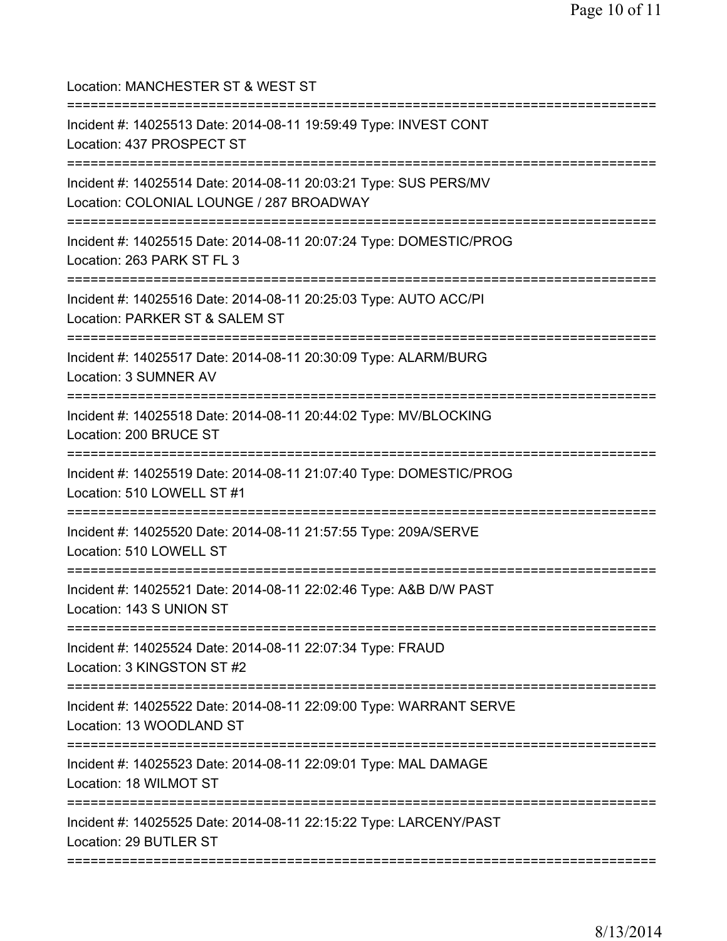Location: MANCHESTER ST & WEST ST =========================================================================== Incident #: 14025513 Date: 2014-08-11 19:59:49 Type: INVEST CONT Location: 437 PROSPECT ST =========================================================================== Incident #: 14025514 Date: 2014-08-11 20:03:21 Type: SUS PERS/MV Location: COLONIAL LOUNGE / 287 BROADWAY =========================================================================== Incident #: 14025515 Date: 2014-08-11 20:07:24 Type: DOMESTIC/PROG Location: 263 PARK ST FL 3 =========================================================================== Incident #: 14025516 Date: 2014-08-11 20:25:03 Type: AUTO ACC/PI Location: PARKER ST & SALEM ST =========================================================================== Incident #: 14025517 Date: 2014-08-11 20:30:09 Type: ALARM/BURG Location: 3 SUMNER AV =========================================================================== Incident #: 14025518 Date: 2014-08-11 20:44:02 Type: MV/BLOCKING Location: 200 BRUCE ST =========================================================================== Incident #: 14025519 Date: 2014-08-11 21:07:40 Type: DOMESTIC/PROG Location: 510 LOWELL ST #1 =========================================================================== Incident #: 14025520 Date: 2014-08-11 21:57:55 Type: 209A/SERVE Location: 510 LOWELL ST =========================================================================== Incident #: 14025521 Date: 2014-08-11 22:02:46 Type: A&B D/W PAST Location: 143 S UNION ST =========================================================================== Incident #: 14025524 Date: 2014-08-11 22:07:34 Type: FRAUD Location: 3 KINGSTON ST #2 =========================================================================== Incident #: 14025522 Date: 2014-08-11 22:09:00 Type: WARRANT SERVE Location: 13 WOODLAND ST =========================================================================== Incident #: 14025523 Date: 2014-08-11 22:09:01 Type: MAL DAMAGE Location: 18 WILMOT ST =========================================================================== Incident #: 14025525 Date: 2014-08-11 22:15:22 Type: LARCENY/PAST Location: 29 BUTLER ST ===========================================================================